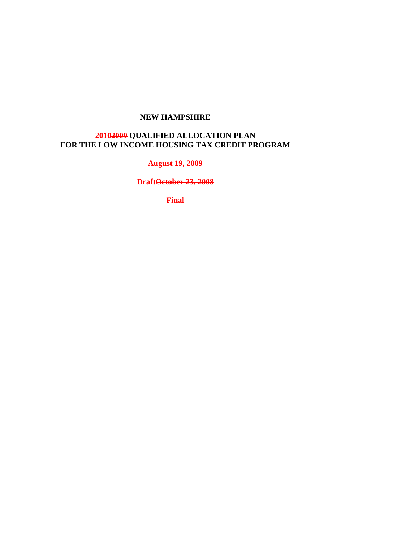# **NEW HAMPSHIRE**

# **20102009 QUALIFIED ALLOCATION PLAN FOR THE LOW INCOME HOUSING TAX CREDIT PROGRAM**

**August 19, 2009** 

**DraftOctober 23, 2008**

**Final**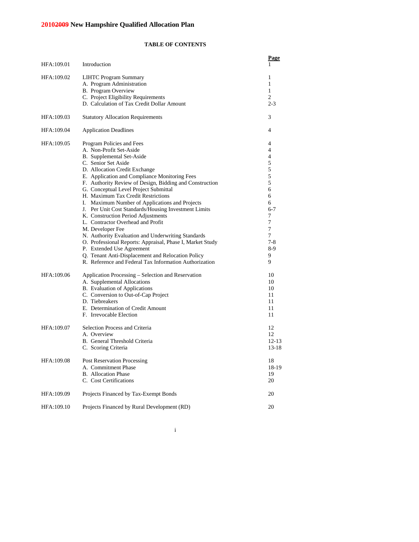# **TABLE OF CONTENTS**

| HFA:109.01 | Introduction                                                                                                                                                                                                                                                                                                                                                                                                                                                                                                                                                                                                                                                                                                                                                                                                 | <u>Page</u>                                                                                                 |
|------------|--------------------------------------------------------------------------------------------------------------------------------------------------------------------------------------------------------------------------------------------------------------------------------------------------------------------------------------------------------------------------------------------------------------------------------------------------------------------------------------------------------------------------------------------------------------------------------------------------------------------------------------------------------------------------------------------------------------------------------------------------------------------------------------------------------------|-------------------------------------------------------------------------------------------------------------|
| HFA:109.02 | <b>LIHTC Program Summary</b><br>A. Program Administration<br><b>B.</b> Program Overview<br>C. Project Eligibility Requirements                                                                                                                                                                                                                                                                                                                                                                                                                                                                                                                                                                                                                                                                               | 1<br>1<br>1<br>2                                                                                            |
|            | D. Calculation of Tax Credit Dollar Amount                                                                                                                                                                                                                                                                                                                                                                                                                                                                                                                                                                                                                                                                                                                                                                   | $2 - 3$                                                                                                     |
| HFA:109.03 | <b>Statutory Allocation Requirements</b>                                                                                                                                                                                                                                                                                                                                                                                                                                                                                                                                                                                                                                                                                                                                                                     | 3                                                                                                           |
| HFA:109.04 | <b>Application Deadlines</b>                                                                                                                                                                                                                                                                                                                                                                                                                                                                                                                                                                                                                                                                                                                                                                                 | 4                                                                                                           |
| HFA:109.05 | Program Policies and Fees<br>A. Non-Profit Set-Aside<br>B. Supplemental Set-Aside<br>C. Senior Set Aside<br>D. Allocation Credit Exchange<br>E. Application and Compliance Monitoring Fees<br>F. Authority Review of Design, Bidding and Construction<br>G. Conceptual Level Project Submittal<br>H. Maximum Tax Credit Restrictions<br>I. Maximum Number of Applications and Projects<br>J. Per Unit Cost Standards/Housing Investment Limits<br>K. Construction Period Adjustments<br>L. Contractor Overhead and Profit<br>M. Developer Fee<br>N. Authority Evaluation and Underwriting Standards<br>O. Professional Reports: Appraisal, Phase I, Market Study<br>P. Extended Use Agreement<br>Q. Tenant Anti-Displacement and Relocation Policy<br>R. Reference and Federal Tax Information Authorization | 4<br>4<br>4<br>5<br>5<br>5<br>5<br>6<br>6<br>6<br>$6 - 7$<br>7<br>7<br>7<br>7<br>$7 - 8$<br>$8-9$<br>9<br>9 |
| HFA:109.06 | Application Processing – Selection and Reservation<br>A. Supplemental Allocations<br><b>B.</b> Evaluation of Applications<br>C. Conversion to Out-of-Cap Project<br>D. Tiebreakers<br>E. Determination of Credit Amount<br>F. Irrevocable Election                                                                                                                                                                                                                                                                                                                                                                                                                                                                                                                                                           | 10<br>10<br>10<br>11<br>11<br>11<br>11                                                                      |
| HFA:109.07 | Selection Process and Criteria<br>A. Overview<br>B. General Threshold Criteria<br>C. Scoring Criteria                                                                                                                                                                                                                                                                                                                                                                                                                                                                                                                                                                                                                                                                                                        | 12<br>12<br>$12 - 13$<br>$13 - 18$                                                                          |
| HFA:109.08 | <b>Post Reservation Processing</b><br>A. Commitment Phase<br><b>B.</b> Allocation Phase<br>C. Cost Certifications                                                                                                                                                                                                                                                                                                                                                                                                                                                                                                                                                                                                                                                                                            | 18<br>18-19<br>19<br>20                                                                                     |
| HFA:109.09 | Projects Financed by Tax-Exempt Bonds                                                                                                                                                                                                                                                                                                                                                                                                                                                                                                                                                                                                                                                                                                                                                                        | 20                                                                                                          |
| HFA:109.10 | Projects Financed by Rural Development (RD)                                                                                                                                                                                                                                                                                                                                                                                                                                                                                                                                                                                                                                                                                                                                                                  | 20                                                                                                          |

i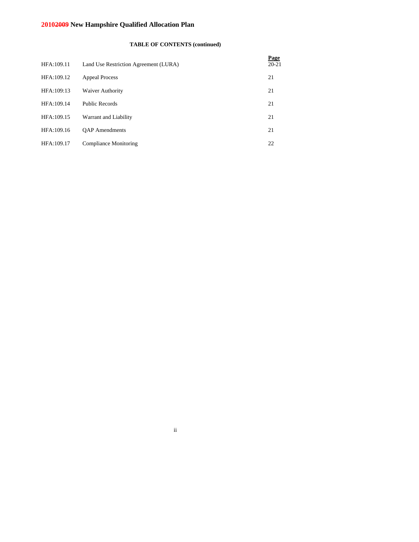# **TABLE OF CONTENTS (continued)**

ii

|            |                                       | <b>Page</b> |
|------------|---------------------------------------|-------------|
| HFA:109.11 | Land Use Restriction Agreement (LURA) | $20 - 21$   |
| HFA:109.12 | <b>Appeal Process</b>                 | 21          |
| HFA:109:13 | Waiver Authority                      | 21          |
| HFA:109.14 | <b>Public Records</b>                 | 21          |
| HFA:109.15 | Warrant and Liability                 | 21          |
| HFA:109.16 | <b>OAP</b> Amendments                 | 21          |
| HFA:109.17 | Compliance Monitoring                 | 22          |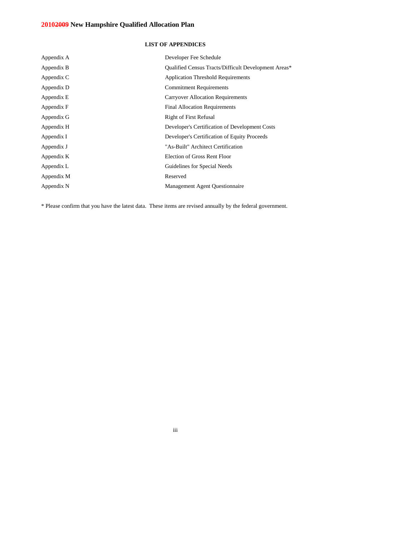# **LIST OF APPENDICES**

| Appendix A | Developer Fee Schedule                                      |
|------------|-------------------------------------------------------------|
| Appendix B | <b>Qualified Census Tracts/Difficult Development Areas*</b> |
| Appendix C | <b>Application Threshold Requirements</b>                   |
| Appendix D | <b>Commitment Requirements</b>                              |
| Appendix E | <b>Carryover Allocation Requirements</b>                    |
| Appendix F | <b>Final Allocation Requirements</b>                        |
| Appendix G | <b>Right of First Refusal</b>                               |
| Appendix H | Developer's Certification of Development Costs              |
| Appendix I | Developer's Certification of Equity Proceeds                |
| Appendix J | "As-Built" Architect Certification                          |
| Appendix K | <b>Election of Gross Rent Floor</b>                         |
| Appendix L | Guidelines for Special Needs                                |
| Appendix M | Reserved                                                    |
| Appendix N | <b>Management Agent Questionnaire</b>                       |

\* Please confirm that you have the latest data. These items are revised annually by the federal government.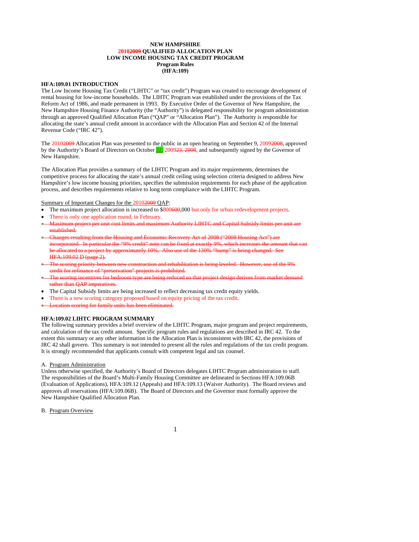#### **NEW HAMPSHIRE 20102009 QUALIFIED ALLOCATION PLAN LOW INCOME HOUSING TAX CREDIT PROGRAM Program Rules (HFA:109)**

## **HFA:109.01 INTRODUCTION**

The Low Income Housing Tax Credit ("LIHTC" or "tax credit") Program was created to encourage development of rental housing for low-income households. The LIHTC Program was established under the provisions of the Tax Reform Act of 1986, and made permanent in 1993. By Executive Order of the Governor of New Hampshire, the New Hampshire Housing Finance Authority (the "Authority") is delegated responsibility for program administration through an approved Qualified Allocation Plan ("QAP" or "Allocation Plan"). The Authority is responsible for allocating the state's annual credit amount in accordance with the Allocation Plan and Section 42 of the Internal Revenue Code ("IRC 42").

The 20102009 Allocation Plan was presented to the public in an open hearing on September 9, 20092008, approved by the Authority's Board of Directors on October 22, 200923, 2008, and subsequently signed by the Governor of New Hampshire.

The Allocation Plan provides a summary of the LIHTC Program and its major requirements, determines the competitive process for allocating the state's annual credit ceiling using selection criteria designed to address New Hampshire's low income housing priorities, specifies the submission requirements for each phase of the application process, and describes requirements relative to long term compliance with the LIHTC Program.

Summary of Important Changes for the 20102009 QAP:

- The maximum project allocation is increased to \$800600,000 but only for urban redevelopment projects.
- There is only one application round, in February.
- Maximum project per unit cost limits and maximum Authority LIHTC and Capital Subsidy limits per unit are established.
- Changes resulting from the Housing and Economic Recovery Act of 2008 ("2008 Housing Act") are incorporated. In particular the "9% credit" note can be fixed at exactly 9%, which increases the an be allocated to a project by approximately 10%. Also use of the 130% "bump" is being changed. See HFA:109.02 D (page 2).
- effruction and rehabilitation is being leveled. However, use credit for refinance of "preservation" projects is prohibited.
- The scoring incentives for bedroom type are being reduced so that project design derives from market demand rather than QAP imperatives.
- The Capital Subsidy limits are being increased to reflect decreasing tax credit equity yields.
- There is a new scoring category proposed based on equity pricing of the tax credit.
- Location scoring for family units has been eliminated.

# **HFA:109.02 LIHTC PROGRAM SUMMARY**

The following summary provides a brief overview of the LIHTC Program, major program and project requirements, and calculation of the tax credit amount. Specific program rules and regulations are described in IRC 42. To the extent this summary or any other information in the Allocation Plan is inconsistent with IRC 42, the provisions of IRC 42 shall govern. This summary is not intended to present all the rules and regulations of the tax credit program. It is strongly recommended that applicants consult with competent legal and tax counsel.

#### A. Program Administration

Unless otherwise specified, the Authority's Board of Directors delegates LIHTC Program administration to staff. The responsibilities of the Board's Multi-Family Housing Committee are delineated in Sections HFA:109.06B (Evaluation of Applications), HFA:109.12 (Appeals) and HFA:109.13 (Waiver Authority). The Board reviews and approves all reservations (HFA:109.06B). The Board of Directors and the Governor must formally approve the New Hampshire Qualified Allocation Plan.

B. Program Overview

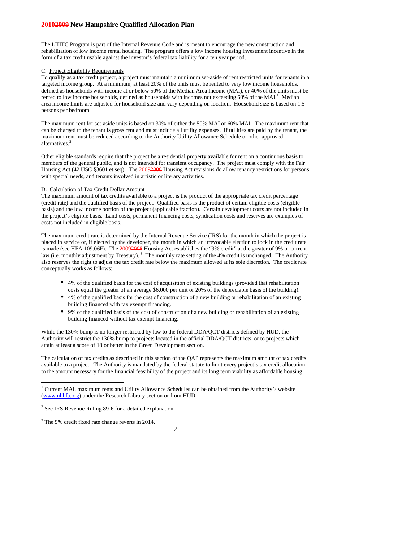The LIHTC Program is part of the Internal Revenue Code and is meant to encourage the new construction and rehabilitation of low income rental housing. The program offers a low income housing investment incentive in the form of a tax credit usable against the investor's federal tax liability for a ten year period.

## C. Project Eligibility Requirements

To qualify as a tax credit project, a project must maintain a minimum set-aside of rent restricted units for tenants in a targeted income group. At a minimum, at least 20% of the units must be rented to very low income households, defined as households with income at or below 50% of the Median Area Income (MAI), or 40% of the units must be rented to low income households, defined as households with incomes not exceeding  $60\%$  of the MAI.<sup>[1](#page-5-0)</sup> Median area income limits are adjusted for household size and vary depending on location. Household size is based on 1.5 persons per bedroom.

The maximum rent for set-aside units is based on 30% of either the 50% MAI or 60% MAI. The maximum rent that can be charged to the tenant is gross rent and must include all utility expenses. If utilities are paid by the tenant, the maximum rent must be reduced according to the Authority Utility Allowance Schedule or other approved alternatives.<sup>[2](#page-5-1)</sup>

Other eligible standards require that the project be a residential property available for rent on a continuous basis to members of the general public, and is not intended for transient occupancy. The project must comply with the Fair Housing Act (42 USC §3601 et seq). The 2009<del>2008</del> Housing Act revisions do allow tenancy restrictions for persons with special needs, and tenants involved in artistic or literary activities.

#### D. Calculation of Tax Credit Dollar Amount

The maximum amount of tax credits available to a project is the product of the appropriate tax credit percentage (credit rate) and the qualified basis of the project. Qualified basis is the product of certain eligible costs (eligible basis) and the low income portion of the project (applicable fraction). Certain development costs are not included in the project's eligible basis. Land costs, permanent financing costs, syndication costs and reserves are examples of costs not included in eligible basis.

The maximum credit rate is determined by the Internal Revenue Service (IRS) for the month in which the project is placed in service or, if elected by the developer, the month in which an irrevocable election to lock in the credit rate is made (see HFA:109.06F). The 20092008 Housing Act establishes the "9% credit" at the greater of 9% or current law (i.e. monthly adjustment by Treasury).<sup>[3](#page-5-2)</sup> The monthly rate setting of the 4% credit is unchanged. The Authority also reserves the right to adjust the tax credit rate below the maximum allowed at its sole discretion. The credit rate conceptually works as follows:

- 4% of the qualified basis for the cost of acquisition of existing buildings (provided that rehabilitation costs equal the greater of an average \$6,000 per unit or 20% of the depreciable basis of the building).
- 4% of the qualified basis for the cost of construction of a new building or rehabilitation of an existing building financed with tax exempt financing.
- 9% of the qualified basis of the cost of construction of a new building or rehabilitation of an existing building financed without tax exempt financing.

While the 130% bump is no longer restricted by law to the federal DDA/QCT districts defined by HUD, the Authority will restrict the 130% bump to projects located in the official DDA/QCT districts, or to projects which attain at least a score of 18 or better in the Green Development section.

The calculation of tax credits as described in this section of the QAP represents the maximum amount of tax credits available to a project. The Authority is mandated by the federal statute to limit every project's tax credit allocation to the amount necessary for the financial feasibility of the project and its long term viability as affordable housing.

-



<sup>&</sup>lt;sup>1</sup> Current MAI, maximum rents and Utility Allowance Schedules can be obtained from the Authority's website (www.nhhfa.org) under the Research Library section or from HUD.

 $2^2$  See IRS Revenue Ruling 89-6 for a detailed explanation.

<span id="page-5-2"></span><span id="page-5-1"></span><span id="page-5-0"></span><sup>&</sup>lt;sup>3</sup> The 9% credit fixed rate change reverts in 2014.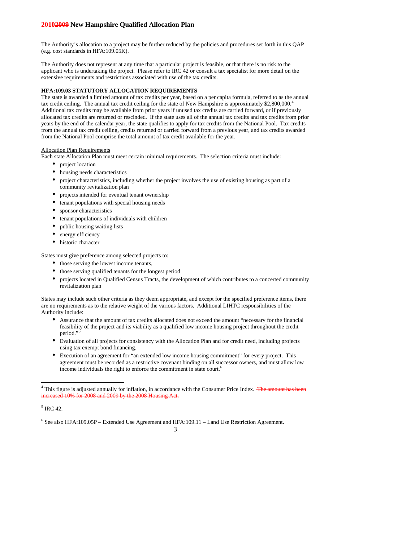The Authority's allocation to a project may be further reduced by the policies and procedures set forth in this QAP (e.g. cost standards in HFA:109.05K).

The Authority does not represent at any time that a particular project is feasible, or that there is no risk to the applicant who is undertaking the project. Please refer to IRC 42 or consult a tax specialist for more detail on the extensive requirements and restrictions associated with use of the tax credits.

## **HFA:109.03 STATUTORY ALLOCATION REQUIREMENTS**

The state is awarded a limited amount of tax credits per year, based on a per capita formula, referred to as the annual tax credit ceiling. The annual tax credit ceiling for the state of New Hampshire is approximately \$2,800,000.<sup>[4](#page-6-0)</sup> Additional tax credits may be available from prior years if unused tax credits are carried forward, or if previously allocated tax credits are returned or rescinded. If the state uses all of the annual tax credits and tax credits from prior years by the end of the calendar year, the state qualifies to apply for tax credits from the National Pool. Tax credits from the annual tax credit ceiling, credits returned or carried forward from a previous year, and tax credits awarded from the National Pool comprise the total amount of tax credit available for the year.

## Allocation Plan Requirements

Each state Allocation Plan must meet certain minimal requirements. The selection criteria must include:

- project location
- housing needs characteristics
- project characteristics, including whether the project involves the use of existing housing as part of a community revitalization plan
- projects intended for eventual tenant ownership
- tenant populations with special housing needs
- sponsor characteristics
- tenant populations of individuals with children
- public housing waiting lists
- energy efficiency
- historic character

States must give preference among selected projects to:

- those serving the lowest income tenants,
- those serving qualified tenants for the longest period
- projects located in Qualified Census Tracts, the development of which contributes to a concerted community revitalization plan

States may include such other criteria as they deem appropriate, and except for the specified preference items, there are no requirements as to the relative weight of the various factors. Additional LIHTC responsibilities of the Authority include:

- Assurance that the amount of tax credits allocated does not exceed the amount "necessary for the financial feasibility of the project and its viability as a qualified low income housing project throughout the credit period."
- Evaluation of all projects for consistency with the Allocation Plan and for credit need, including projects using tax exempt bond financing.
- Execution of an agreement for "an extended low income housing commitment" for every project. This agreement must be recorded as a restrictive covenant binding on all successor owners, and must allow low income individuals the right to enforce the commitment in state court.<sup>[6](#page-6-2)</sup>

-

<sup>&</sup>lt;sup>4</sup> This figure is adjusted annually for inflation, in accordance with the Consumer Price Index. <del>The amount has been</del> increased 10% for 2008 and 2009 by the 2008 Housing Act.

 $<sup>5</sup>$  IRC 42.</sup>

<span id="page-6-2"></span><span id="page-6-1"></span><span id="page-6-0"></span><sup>6</sup> See also HFA:109.05P – Extended Use Agreement and HFA:109.11 – Land Use Restriction Agreement.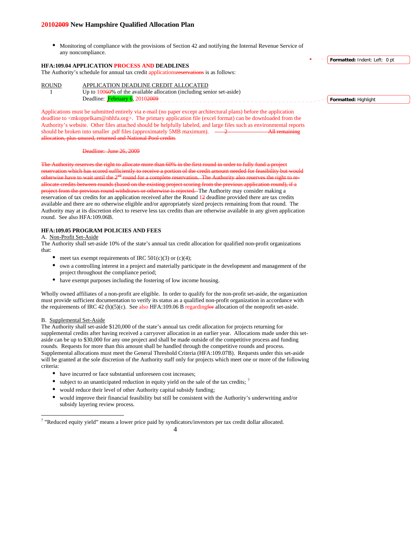• Monitoring of compliance with the provisions of Section 42 and notifying the Internal Revenue Service of any noncompliance.

# **HFA:109.04 APPLICATION PROCESS AND DEADLINES**

The Authority's schedule for annual tax credit applicationsreservations is as follows:

ROUND APPLICATION DEADLINE CREDIT ALLOCATED 1 Up to 10060% of the available allocation (including senior set-aside) Deadline: February 6, 2010<del>2009</del>

Applications must be submitted entirely via e-mail (no paper except architectural plans) before the application deadline to  $\langle mkopp$ elkam@nhhfa.org>. The primary application file (excel format) can be downloaded from the Authority's website. Other files attached should be helpfully labeled, and large files such as environmental reports should be broken into smaller .pdf files (approximately 5MB maximum).  $\frac{2}{2}$  All remaining allocation, plus unused, returned and National Pool credits

# Deadline: June 26, 2009

the right to allocate more than 60% in the cored sufficiently to receive a portion of the credit amount needed for feasibility have to wait until the 2<sup>nd</sup> round for a complete reservation. The Authority also reserves the right<br>edits between rounds (based on the existing project scoring from the previous application round) allocate credits between rounds (based on the existing project scoring from the project from the previous round withdraws or otherwise is rejected. The Authority may consider making a reservation of tax credits for an application received after the Round 12 deadline provided there are tax credits available and there are no otherwise eligible and/or appropriately sized projects remaining from that round. The Authority may at its discretion elect to reserve less tax credits than are otherwise available in any given application round. See also HFA:109.06B.

## **HFA:109.05 PROGRAM POLICIES AND FEES**

A. Non-Profit Set-Aside

The Authority shall set-aside 10% of the state's annual tax credit allocation for qualified non-profit organizations that:

- meet tax exempt requirements of IRC  $501(c)(3)$  or  $(c)(4)$ ;
- own a controlling interest in a project and materially participate in the development and management of the project throughout the compliance period;
- have exempt purposes including the fostering of low income housing.

Wholly owned affiliates of a non-profit are eligible. In order to qualify for the non-profit set-aside, the organization must provide sufficient documentation to verify its status as a qualified non-profit organization in accordance with the requirements of IRC 42 (h)(5)(c). See also HFA:109.06 B regarding for allocation of the nonprofit set-aside.

#### B. Supplemental Set-Aside

-

The Authority shall set-aside \$120,000 of the state's annual tax credit allocation for projects returning for supplemental credits after having received a carryover allocation in an earlier year. Allocations made under this setaside can be up to \$30,000 for any one project and shall be made outside of the competitive process and funding rounds. Requests for more than this amount shall be handled through the competitive rounds and process. Supplemental allocations must meet the General Threshold Criteria (HFA:109.07B). Requests under this set-aside will be granted at the sole discretion of the Authority staff only for projects which meet one or more of the following criteria:

- have incurred or face substantial unforeseen cost increases;
- subject to an unanticipated reduction in equity yield on the sale of the tax credits;  $<sup>7</sup>$  $<sup>7</sup>$  $<sup>7</sup>$ </sup>
- would reduce their level of other Authority capital subsidy funding;
- would improve their financial feasibility but still be consistent with the Authority's underwriting and/or subsidy layering review process.

4

**Formatted:** Indent: Left: 0 pt

**Formatted:** Highlight

<span id="page-7-0"></span><sup>7</sup> "Reduced equity yield" means a lower price paid by syndicators/investors per tax credit dollar allocated.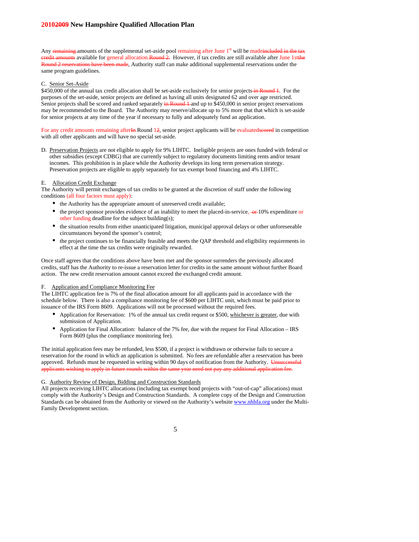Any remaining amounts of the supplemental set-aside pool remaining after June  $1<sup>st</sup>$  will be madeineluded in the tax credit amounts available for general allocation.Round 2. However, if tax credits are still available after June 1stthe Round 2 reservations have been made, Authority staff can make additional supplemental reservations under the same program guidelines.

#### C. Senior Set-Aside

\$450,000 of the annual tax credit allocation shall be set-aside exclusively for senior projects  $\frac{1}{2}$ . For the purposes of the set-aside, senior projects are defined as having all units designated 62 and over age restricted. Senior projects shall be scored and ranked separately in Round 1 and up to \$450,000 in senior project reservations may be recommended to the Board. The Authority may reserve/allocate up to 5% more that that which is set-aside for senior projects at any time of the year if necessary to fully and adequately fund an application.

For any credit amounts remaining after<sup>I</sup>n Round 12, senior project applicants will be evaluated second in competition with all other applicants and will have no special set-aside.

D. Preservation Projects are not eligible to apply for 9% LIHTC. Ineligible projects are ones funded with federal or other subsidies (except CDBG) that are currently subject to regulatory documents limiting rents and/or tenant incomes. This prohibition is in place while the Authority develops its long term preservation strategy. Preservation projects are eligible to apply separately for tax exempt bond financing and 4% LIHTC.

#### E. Allocation Credit Exchange

The Authority will permit exchanges of tax credits to be granted at the discretion of staff under the following conditions (all four factors must apply):

- the Authority has the appropriate amount of unreserved credit available;
- the project sponsor provides evidence of an inability to meet the placed-in-service,  $-$  0% expenditure or other funding deadline for the subject building(s);
- the situation results from either unanticipated litigation, municipal approval delays or other unforeseeable circumstances beyond the sponsor's control;
- the project continues to be financially feasible and meets the QAP threshold and eligibility requirements in effect at the time the tax credits were originally rewarded.

Once staff agrees that the conditions above have been met and the sponsor surrenders the previously allocated credits, staff has the Authority to re-issue a reservation letter for credits in the same amount without further Board action. The new credit reservation amount cannot exceed the exchanged credit amount.

#### F. Application and Compliance Monitoring Fee

The LIHTC application fee is 7% of the final allocation amount for all applicants paid in accordance with the schedule below. There is also a compliance monitoring fee of \$600 per LIHTC unit, which must be paid prior to issuance of the IRS Form 8609. Applications will not be processed without the required fees.

- Application for Reservation: 1% of the annual tax credit request or \$500, whichever is greater, due with submission of Application.
- Application for Final Allocation: balance of the 7% fee, due with the request for Final Allocation IRS Form 8609 (plus the compliance monitoring fee).

The initial application fees may be refunded, less \$500, if a project is withdrawn or otherwise fails to secure a reservation for the round in which an application is submitted. No fees are refundable after a reservation has been approved. Refunds must be requested in writing within 90 days of notification from the Authority. Unsuccessful applicants wishing to apply in future rounds within the same year need not pay any additional applic

#### G. Authority Review of Design, Bidding and Construction Standards

All projects receiving LIHTC allocations (including tax exempt bond projects with "out-of-cap" allocations) must comply with the Authority's Design and Construction Standards. A complete copy of the Design and Construction Standards can be obtained from the Authority or viewed on the Authority's website [www.nhhfa.org](http://www.nhhfa.org/) under the Multi-Family Development section.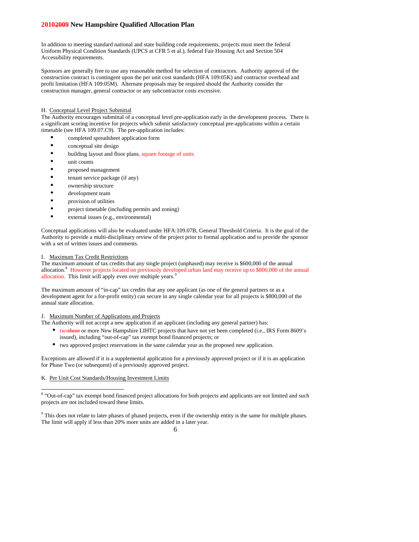In addition to meeting standard national and state building code requirements, projects must meet the federal Uniform Physical Condition Standards (UPCS at CFR 5 et al.), federal Fair Housing Act and Section 504 Accessibility requirements.

Sponsors are generally free to use any reasonable method for selection of contractors. Authority approval of the construction contract is contingent upon the per unit cost standards (HFA 109:05K) and contractor overhead and profit limitation (HFA 109:05M). Alternate proposals may be required should the Authority consider the construction manager, general contractor or any subcontractor costs excessive.

# H. Conceptual Level Project Submittal

The Authority encourages submittal of a conceptual level pre-application early in the development process. There is a significant scoring incentive for projects which submit satisfactory conceptual pre-applications within a certain timetable (see HFA 109.07.C9). The pre-application includes:

- completed spreadsheet application form
- conceptual site design
- building layout and floor plans, square footage of units
- unit counts
- proposed management
- tenant service package (if any)
- ownership structure
- development team
- provision of utilities
- project timetable (including permits and zoning)
- external issues (e.g., environmental)

Conceptual applications will also be evaluated under HFA:109.07B, General Threshold Criteria. It is the goal of the Authority to provide a multi-disciplinary review of the project prior to formal application and to provide the sponsor with a set of written issues and comments.

## I. Maximum Tax Credit Restrictions

The maximum amount of tax credits that any single project (unphased) may receive is \$600,000 of the annual allocation.<sup>[8](#page-9-0)</sup> However projects located on previously developed urban land may receive up to \$800,000 of the annual allocation. This limit will apply even over multiple years.<sup>[9](#page-9-1)</sup>

The maximum amount of "in-cap" tax credits that any one applicant (as one of the general partners or as a development agent for a for-profit entity) can secure in any single calendar year for all projects is \$800,000 of the annual state allocation.

J. Maximum Number of Applications and Projects

The Authority will not accept a new application if an applicant (including any general partner) has:

- twothree or more New Hampshire LIHTC projects that have not yet been completed (i.e., IRS Form 8609's issued), including "out-of-cap" tax exempt bond financed projects; or
- two approved project reservations in the same calendar year as the proposed new application.

Exceptions are allowed if it is a supplemental application for a previously approved project or if it is an application for Phase Two (or subsequent) of a previously approved project.

K. Per Unit Cost Standards/Housing Investment Limits

1

<sup>&</sup>lt;sup>8</sup> "Out-of-cap" tax exempt bond financed project allocations for both projects and applicants are not limited and such projects are not included toward these limits.

<span id="page-9-1"></span><span id="page-9-0"></span><sup>&</sup>lt;sup>9</sup> This does not relate to later phases of phased projects, even if the ownership entity is the same for multiple phases. The limit will apply if less than 20% more units are added in a later year.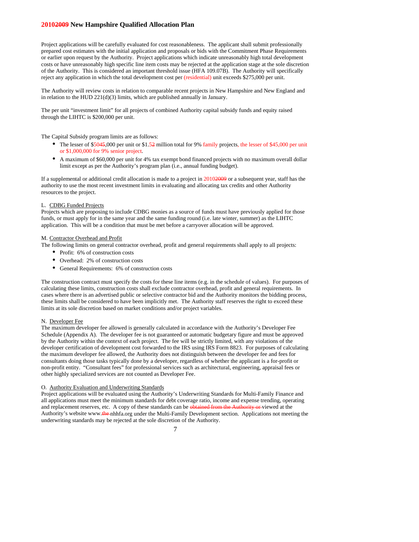Project applications will be carefully evaluated for cost reasonableness. The applicant shall submit professionally prepared cost estimates with the initial application and proposals or bids with the Commitment Phase Requirements or earlier upon request by the Authority. Project applications which indicate unreasonably high total development costs or have unreasonably high specific line item costs may be rejected at the application stage at the sole discretion of the Authority. This is considered an important threshold issue (HFA 109.07B). The Authority will specifically reject any application in which the total development cost per (residential) unit exceeds \$275,000 per unit.

The Authority will review costs in relation to comparable recent projects in New Hampshire and New England and in relation to the HUD 221(d)(3) limits, which are published annually in January.

The per unit "investment limit" for all projects of combined Authority capital subsidy funds and equity raised through the LIHTC is \$200,000 per unit.

The Capital Subsidy program limits are as follows:

- The lesser of \$5045,000 per unit or \$1.52 million total for 9% family projects, the lesser of \$45,000 per unit or \$1,000,000 for 9% senior project.
- A maximum of \$60,000 per unit for 4% tax exempt bond financed projects with no maximum overall dollar limit except as per the Authority's program plan (i.e., annual funding budget).

If a supplemental or additional credit allocation is made to a project in  $20102009$  or a subsequent year, staff has the authority to use the most recent investment limits in evaluating and allocating tax credits and other Authority resources to the project.

#### L. CDBG Funded Projects

Projects which are proposing to include CDBG monies as a source of funds must have previously applied for those funds, or must apply for in the same year and the same funding round (i.e. late winter, summer) as the LIHTC application. This will be a condition that must be met before a carryover allocation will be approved.

#### M. Contractor Overhead and Profit

The following limits on general contractor overhead, profit and general requirements shall apply to all projects:

- Profit: 6% of construction costs
- Overhead: 2% of construction costs
- General Requirements: 6% of construction costs

The construction contract must specify the costs for these line items (e.g. in the schedule of values). For purposes of calculating these limits, construction costs shall exclude contractor overhead, profit and general requirements. In cases where there is an advertised public or selective contractor bid and the Authority monitors the bidding process, these limits shall be considered to have been implicitly met. The Authority staff reserves the right to exceed these limits at its sole discretion based on market conditions and/or project variables.

#### N. Developer Fee

The maximum developer fee allowed is generally calculated in accordance with the Authority's Developer Fee Schedule (Appendix A). The developer fee is not guaranteed or automatic budgetary figure and must be approved by the Authority within the context of each project. The fee will be strictly limited, with any violations of the developer certification of development cost forwarded to the IRS using IRS Form 8823. For purposes of calculating the maximum developer fee allowed, the Authority does not distinguish between the developer fee and fees for consultants doing those tasks typically done by a developer, regardless of whether the applicant is a for-profit or non-profit entity. "Consultant fees" for professional services such as architectural, engineering, appraisal fees or other highly specialized services are not counted as Developer Fee.

#### O. Authority Evaluation and Underwriting Standards

Project applications will be evaluated using the Authority's Underwriting Standards for Multi-Family Finance and all applications must meet the minimum standards for debt coverage ratio, income and expense trending, operating and replacement reserves, etc. A copy of these standards can be obtained from the Authority or viewed at the Authority's website www.the nhhfa.org under the Multi-Family Development section. Applications not meeting the underwriting standards may be rejected at the sole discretion of the Authority.

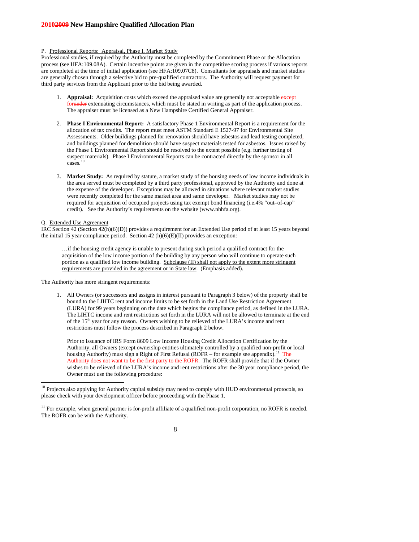## P. Professional Reports: Appraisal, Phase I, Market Study

Professional studies, if required by the Authority must be completed by the Commitment Phase or the Allocation process (see HFA:109.08A). Certain incentive points are given in the competitive scoring process if various reports are completed at the time of initial application (see HFA:109.07C8). Consultants for appraisals and market studies are generally chosen through a selective bid to pre-qualified contractors. The Authority will request payment for third party services from the Applicant prior to the bid being awarded.

- 1. **Appraisal:** Acquisition costs which exceed the appraised value are generally not acceptable except forunder extenuating circumstances, which must be stated in writing as part of the application process. The appraiser must be licensed as a New Hampshire Certified General Appraiser.
- 2. **Phase I Environmental Report:** A satisfactory Phase 1 Environmental Report is a requirement for the allocation of tax credits. The report must meet ASTM Standard E 1527-97 for Environmental Site Assessments. Older buildings planned for renovation should have asbestos and lead testing completed, and buildings planned for demolition should have suspect materials tested for asbestos. Issues raised by the Phase 1 Environmental Report should be resolved to the extent possible (e.g. further testing of suspect materials). Phase I Environmental Reports can be contracted directly by the sponsor in all cases.<sup>[10](#page-11-0)</sup>
- 3. **Market Study:** As required by statute, a market study of the housing needs of low income individuals in the area served must be completed by a third party professional, approved by the Authority and done at the expense of the developer. Exceptions may be allowed in situations where relevant market studies were recently completed for the same market area and same developer. Market studies may not be required for acquisition of occupied projects using tax exempt bond financing (i.e.4% "out–of-cap" credit). See the Authority's requirements on the website (www.nhhfa.org).

#### Q. Extended Use Agreement

-

IRC Section 42 (Section 42(h)(6)(D)) provides a requirement for an Extended Use period of at least 15 years beyond the initial 15 year compliance period. Section 42 (h)(6)(E)(II) provides an exception:

…if the housing credit agency is unable to present during such period a qualified contract for the acquisition of the low income portion of the building by any person who will continue to operate such portion as a qualified low income building. Subclause (II) shall not apply to the extent more stringent requirements are provided in the agreement or in State law. (Emphasis added).

The Authority has more stringent requirements:

1. All Owners (or successors and assigns in interest pursuant to Paragraph 3 below) of the property shall be bound to the LIHTC rent and income limits to be set forth in the Land Use Restriction Agreement (LURA) for 99 years beginning on the date which begins the compliance period, as defined in the LURA. The LIHTC income and rent restrictions set forth in the LURA will not be allowed to terminate at the end of the  $15<sup>th</sup>$  year for any reason. Owners wishing to be relieved of the LURA's income and rent restrictions must follow the process described in Paragraph 2 below.

Prior to issuance of IRS Form 8609 Low Income Housing Credit Allocation Certification by the Authority, all Owners (except ownership entities ultimately controlled by a qualified non-profit or local housing Authority) must sign a Right of First Refusal (ROFR – for example see appendix).<sup>[1](#page-11-1)1</sup> The Authority does not want to be the first party to the ROFR. The ROFR shall provide that if the Owner wishes to be relieved of the LURA's income and rent restrictions after the 30 year compliance period, the Owner must use the following procedure:

<span id="page-11-1"></span><span id="page-11-0"></span> $<sup>11</sup>$  For example, when general partner is for-profit affiliate of a qualified non-profit corporation, no ROFR is needed.</sup> The ROFR can be with the Authority.



<sup>&</sup>lt;sup>10</sup> Projects also applying for Authority capital subsidy may need to comply with HUD environmental protocols, so please check with your development officer before proceeding with the Phase 1.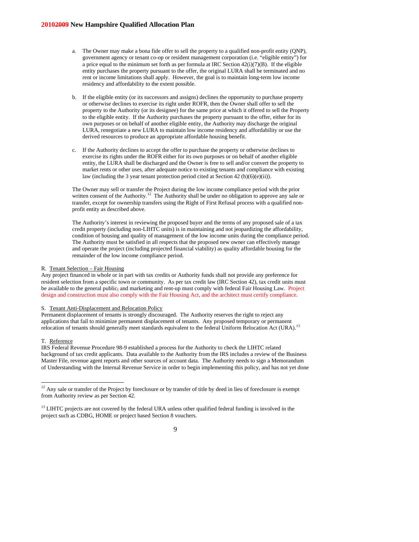- a. The Owner may make a bona fide offer to sell the property to a qualified non-profit entity (QNP), government agency or tenant co-op or resident management corporation (i.e. "eligible entity") for a price equal to the minimum set forth as per formula at IRC Section  $42(i)(7)(B)$ . If the eligible entity purchases the property pursuant to the offer, the original LURA shall be terminated and no rent or income limitations shall apply. However, the goal is to maintain long-term low income residency and affordability to the extent possible.
- b. If the eligible entity (or its successors and assigns) declines the opportunity to purchase property or otherwise declines to exercise its right under ROFR, then the Owner shall offer to sell the property to the Authority (or its designee) for the same price at which it offered to sell the Property to the eligible entity. If the Authority purchases the property pursuant to the offer, either for its own purposes or on behalf of another eligible entity, the Authority may discharge the original LURA, renegotiate a new LURA to maintain low income residency and affordability or use the derived resources to produce an appropriate affordable housing benefit.
- c. If the Authority declines to accept the offer to purchase the property or otherwise declines to exercise its rights under the ROFR either for its own purposes or on behalf of another eligible entity, the LURA shall be discharged and the Owner is free to sell and/or convert the property to market rents or other uses, after adequate notice to existing tenants and compliance with existing law (including the 3 year tenant protection period cited at Section 42 (h)(6)(e)(ii)).

The Owner may sell or transfer the Project during the low income compliance period with the prior written consent of the Authority.<sup>[1](#page-12-0)2</sup> The Authority shall be under no obligation to approve any sale or transfer, except for ownership transfers using the Right of First Refusal process with a qualified nonprofit entity as described above.

The Authority's interest in reviewing the proposed buyer and the terms of any proposed sale of a tax credit property (including non-LIHTC units) is in maintaining and not jeopardizing the affordability, condition of housing and quality of management of the low income units during the compliance period. The Authority must be satisfied in all respects that the proposed new owner can effectively manage and operate the project (including projected financial viability) as quality affordable housing for the remainder of the low income compliance period.

#### R. Tenant Selection – Fair Housing

Any project financed in whole or in part with tax credits or Authority funds shall not provide any preference for resident selection from a specific town or community. As per tax credit law (IRC Section 42), tax credit units must be available to the general public, and marketing and rent-up must comply with federal Fair Housing Law. Project design and construction must also comply with the Fair Housing Act, and the architect must certify compliance.

## S. Tenant Anti-Displacement and Relocation Policy

Permanent displacement of tenants is strongly discouraged. The Authority reserves the right to reject any applications that fail to minimize permanent displacement of tenants. Any proposed temporary or permanent relocation of tenants should generally meet standards equivalent to the federal Uniform Relocation Act (URA).[13](#page-12-1)

#### T. Reference

-

IRS Federal Revenue Procedure 98-9 established a process for the Authority to check the LIHTC related background of tax credit applicants. Data available to the Authority from the IRS includes a review of the Business Master File, revenue agent reports and other sources of account data. The Authority needs to sign a Memorandum of Understanding with the Internal Revenue Service in order to begin implementing this policy, and has not yet done

<span id="page-12-1"></span><span id="page-12-0"></span><sup>&</sup>lt;sup>13</sup> LIHTC projects are not covered by the federal URA unless other qualified federal funding is involved in the project such as CDBG, HOME or project based Section 8 vouchers.



 $12$  Any sale or transfer of the Project by foreclosure or by transfer of title by deed in lieu of foreclosure is exempt from Authority review as per Section 42.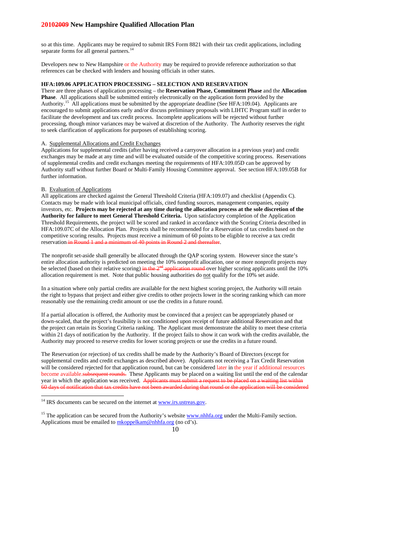so at this time. Applicants may be required to submit IRS Form 8821 with their tax credit applications, including separate forms for all general partners.<sup>[14](#page-13-0)</sup>

Developers new to New Hampshire or the Authority may be required to provide reference authorization so that references can be checked with lenders and housing officials in other states.

## **HFA:109.06 APPLICATION PROCESSING – SELECTION AND RESERVATION**

There are three phases of application processing – the **Reservation Phase, Commitment Phase** and the **Allocation Phase**. All applications shall be submitted entirely electronically on the application form provided by the Authority.[1](#page-13-1)5 All applications must be submitted by the appropriate deadline (See HFA:109.04). Applicants are encouraged to submit applications early and/or discuss preliminary proposals with LIHTC Program staff in order to facilitate the development and tax credit process. Incomplete applications will be rejected without further processing, though minor variances may be waived at discretion of the Authority. The Authority reserves the right to seek clarification of applications for purposes of establishing scoring.

# A. Supplemental Allocations and Credit Exchanges

Applications for supplemental credits (after having received a carryover allocation in a previous year) and credit exchanges may be made at any time and will be evaluated outside of the competitive scoring process. Reservations of supplemental credits and credit exchanges meeting the requirements of HFA:109.05D can be approved by Authority staff without further Board or Multi-Family Housing Committee approval. See section HFA:109.05B for further information.

## B. Evaluation of Applications

-

All applications are checked against the General Threshold Criteria (HFA:109.07) and checklist (Appendix C). Contacts may be made with local municipal officials, cited funding sources, management companies, equity investors, etc. **Projects may be rejected at any time during the allocation process at the sole discretion of the Authority for failure to meet General Threshold Criteria.** Upon satisfactory completion of the Application Threshold Requirements, the project will be scored and ranked in accordance with the Scoring Criteria described in HFA:109.07C of the Allocation Plan. Projects shall be recommended for a Reservation of tax credits based on the competitive scoring results. Projects must receive a minimum of 60 points to be eligible to receive a tax credit reservation in Round 1 and a minimum of 40 points

The nonprofit set-aside shall generally be allocated through the QAP scoring system. However since the state's entire allocation authority is predicted on meeting the 10% nonprofit allocation, one or more nonprofit projects may be selected (based on their relative scoring) in the  $2<sup>nd</sup>$ -application round-over higher scoring applicants until the 10% allocation requirement is met. Note that public housing authorities do not qualify for the 10% set aside.

In a situation where only partial credits are available for the next highest scoring project, the Authority will retain the right to bypass that project and either give credits to other projects lower in the scoring ranking which can more reasonably use the remaining credit amount or use the credits in a future round.

If a partial allocation is offered, the Authority must be convinced that a project can be appropriately phased or down-scaled, that the project's feasibility is not conditioned upon receipt of future additional Reservation and that the project can retain its Scoring Criteria ranking. The Applicant must demonstrate the ability to meet these criteria within 21 days of notification by the Authority. If the project fails to show it can work with the credits available, the Authority may proceed to reserve credits for lower scoring projects or use the credits in a future round.

The Reservation (or rejection) of tax credits shall be made by the Authority's Board of Directors (except for supplemental credits and credit exchanges as described above). Applicants not receiving a Tax Credit Reservation will be considered rejected for that application round, but can be considered later in the year if additional resources become available. subsequent rounds. These Applicants may be placed on a waiting list until the end of the calendar year in which the application was received. Applicants must 60 days of notification that tax credits have not been awarded during that round or the application will be considered

 $14$  IRS documents can be secured on the internet at  $\frac{www.irs.ustreas.gov.}{www.irs.ustreas.gov.}$ 

<span id="page-13-1"></span><span id="page-13-0"></span><sup>&</sup>lt;sup>15</sup> The application can be secured from the Authority's website  $\frac{www.nhhfa.org}{www.nhfa.org}$  under the Multi-Family section. Applications must be emailed to  $\frac{mkopplkam@nhhfa.org}{m}$  (no cd's).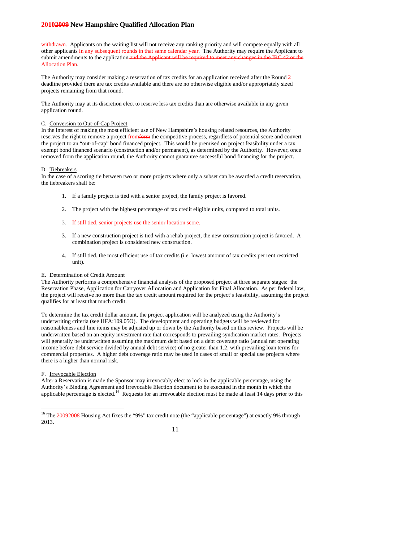withdrawn. Applicants on the waiting list will not receive any ranking priority and will compete equally with all other applicants in any subsequent rounds in that same calendar year. The Authority may require the Applicant to submit amendments to the application and the Applicant will be required to meet any changes in the IRC Allocation Plan.

The Authority may consider making a reservation of tax credits for an application received after the Round 2 deadline provided there are tax credits available and there are no otherwise eligible and/or appropriately sized projects remaining from that round.

The Authority may at its discretion elect to reserve less tax credits than are otherwise available in any given application round.

## C. Conversion to Out-of-Cap Project

In the interest of making the most efficient use of New Hampshire's housing related resources, the Authority reserves the right to remove a project fromform the competitive process, regardless of potential score and convert the project to an "out-of-cap" bond financed project. This would be premised on project feasibility under a tax exempt bond financed scenario (construction and/or permanent), as determined by the Authority. However, once removed from the application round, the Authority cannot guarantee successful bond financing for the project.

## D. Tiebreakers

In the case of a scoring tie between two or more projects where only a subset can be awarded a credit reservation, the tiebreakers shall be:

- 1. If a family project is tied with a senior project, the family project is favored.
- 2. The project with the highest percentage of tax credit eligible units, compared to total units.
- 3. If still tied, senior projects use the senior location score.
- 3. If a new construction project is tied with a rehab project, the new construction project is favored. A combination project is considered new construction.
- 4. If still tied, the most efficient use of tax credits (i.e. lowest amount of tax credits per rent restricted unit).

#### E. Determination of Credit Amount

The Authority performs a comprehensive financial analysis of the proposed project at three separate stages: the Reservation Phase, Application for Carryover Allocation and Application for Final Allocation. As per federal law, the project will receive no more than the tax credit amount required for the project's feasibility, assuming the project qualifies for at least that much credit.

To determine the tax credit dollar amount, the project application will be analyzed using the Authority's underwriting criteria (see HFA:109.05O). The development and operating budgets will be reviewed for reasonableness and line items may be adjusted up or down by the Authority based on this review. Projects will be underwritten based on an equity investment rate that corresponds to prevailing syndication market rates. Projects will generally be underwritten assuming the maximum debt based on a debt coverage ratio (annual net operating income before debt service divided by annual debt service) of no greater than 1.2, with prevailing loan terms for commercial properties. A higher debt coverage ratio may be used in cases of small or special use projects where there is a higher than normal risk.

# F. Irrevocable Election

-

After a Reservation is made the Sponsor may irrevocably elect to lock in the applicable percentage, using the Authority's Binding Agreement and Irrevocable Election document to be executed in the month in which the applicable percentage is elected.<sup>[16](#page-14-0)</sup> Requests for an irrevocable election must be made at least 14 days prior to this

<span id="page-14-0"></span><sup>&</sup>lt;sup>16</sup> The 20092008 Housing Act fixes the "9%" tax credit note (the "applicable percentage") at exactly 9% through 2013.

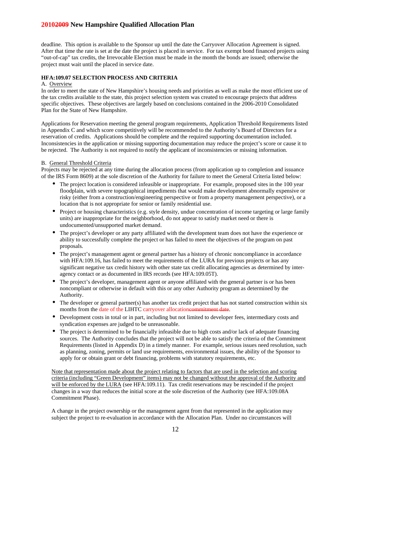deadline. This option is available to the Sponsor up until the date the Carryover Allocation Agreement is signed. After that time the rate is set at the date the project is placed in service. For tax exempt bond financed projects using "out-of-cap" tax credits, the Irrevocable Election must be made in the month the bonds are issued; otherwise the project must wait until the placed in service date.

## **HFA:109.07 SELECTION PROCESS AND CRITERIA**

#### A. Overview

In order to meet the state of New Hampshire's housing needs and priorities as well as make the most efficient use of the tax credits available to the state, this project selection system was created to encourage projects that address specific objectives. These objectives are largely based on conclusions contained in the 2006-2010 Consolidated Plan for the State of New Hampshire.

Applications for Reservation meeting the general program requirements, Application Threshold Requirements listed in Appendix C and which score competitively will be recommended to the Authority's Board of Directors for a reservation of credits. Applications should be complete and the required supporting documentation included. Inconsistencies in the application or missing supporting documentation may reduce the project's score or cause it to be rejected. The Authority is not required to notify the applicant of inconsistencies or missing information.

#### B. General Threshold Criteria

Projects may be rejected at any time during the allocation process (from application up to completion and issuance of the IRS Form 8609) at the sole discretion of the Authority for failure to meet the General Criteria listed below:

- The project location is considered infeasible or inappropriate. For example, proposed sites in the 100 year floodplain, with severe topographical impediments that would make development abnormally expensive or risky (either from a construction/engineering perspective or from a property management perspective), or a location that is not appropriate for senior or family residential use.
- Project or housing characteristics (e.g. style density, undue concentration of income targeting or large family units) are inappropriate for the neighborhood, do not appear to satisfy market need or there is undocumented/unsupported market demand.
- The project's developer or any party affiliated with the development team does not have the experience or ability to successfully complete the project or has failed to meet the objectives of the program on past proposals.
- The project's management agent or general partner has a history of chronic noncompliance in accordance with HFA:109.16, has failed to meet the requirements of the LURA for previous projects or has any significant negative tax credit history with other state tax credit allocating agencies as determined by interagency contact or as documented in IRS records (see HFA:109.05T).
- The project's developer, management agent or anyone affiliated with the general partner is or has been noncompliant or otherwise in default with this or any other Authority program as determined by the Authority.
- The developer or general partner(s) has another tax credit project that has not started construction within six months from the date of the LIHTC carryover allocationed
- Development costs in total or in part, including but not limited to developer fees, intermediary costs and syndication expenses are judged to be unreasonable.
- The project is determined to be financially infeasible due to high costs and/or lack of adequate financing sources. The Authority concludes that the project will not be able to satisfy the criteria of the Commitment Requirements (listed in Appendix D) in a timely manner. For example, serious issues need resolution, such as planning, zoning, permits or land use requirements, environmental issues, the ability of the Sponsor to apply for or obtain grant or debt financing, problems with statutory requirements, etc.

Note that representation made about the project relating to factors that are used in the selection and scoring criteria (including "Green Development" items) may not be changed without the approval of the Authority and will be enforced by the LURA (see HFA:109.11). Tax credit reservations may be rescinded if the project changes in a way that reduces the initial score at the sole discretion of the Authority (see HFA:109.08A Commitment Phase).

A change in the project ownership or the management agent from that represented in the application may subject the project to re-evaluation in accordance with the Allocation Plan. Under no circumstances will

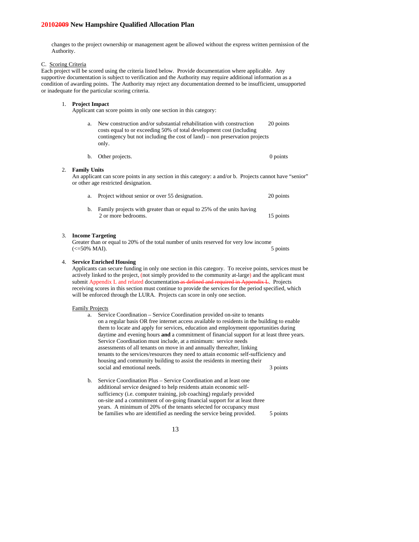changes to the project ownership or management agent be allowed without the express written permission of the Authority.

# C. Scoring Criteria

Each project will be scored using the criteria listed below. Provide documentation where applicable. Any supportive documentation is subject to verification and the Authority may require additional information as a condition of awarding points. The Authority may reject any documentation deemed to be insufficient, unsupported or inadequate for the particular scoring criteria.

#### 1. **Project Impact**

Applicant can score points in only one section in this category:

a. New construction and/or substantial rehabilitation with construction 20 points costs equal to or exceeding 50% of total development cost (including contingency but not including the cost of land) – non preservation projects only.

|  | b. Other projects. | $0$ points |
|--|--------------------|------------|
|--|--------------------|------------|

#### 2. **Family Units**

An applicant can score points in any section in this category: a and/or b. Projects cannot have "senior" or other age restricted designation.

| a. Project without senior or over 55 designation.                                               | 20 points |
|-------------------------------------------------------------------------------------------------|-----------|
| b. Family projects with greater than or equal to 25% of the units having<br>2 or more bedrooms. | 15 points |

## 3. **Income Targeting**

Greater than or equal to 20% of the total number of units reserved for very low income  $\epsilon$  =50% MAI). 5 points

## 4. **Service Enriched Housing**

Applicants can secure funding in only one section in this category. To receive points, services must be actively linked to the project, (not simply provided to the community at-large) and the applicant must submit Appendix L and related documentation as defined and required in Appendix L. Projects receiving scores in this section must continue to provide the services for the period specified, which will be enforced through the LURA. Projects can score in only one section.

#### Family Projects

a. Service Coordination – Service Coordination provided on-site to tenants on a regular basis OR free internet access available to residents in the building to enable them to locate and apply for services, education and employment opportunities during daytime and evening hours **and** a commitment of financial support for at least three years. Service Coordination must include, at a minimum: service needs assessments of all tenants on move in and annually thereafter, linking tenants to the services/resources they need to attain economic self-sufficiency and housing and community building to assist the residents in meeting their social and emotional needs. 3 points

b. Service Coordination Plus – Service Coordination and at least one additional service designed to help residents attain economic selfsufficiency (i.e. computer training, job coaching) regularly provided on-site and a commitment of on-going financial support for at least three years. A minimum of 20% of the tenants selected for occupancy must be families who are identified as needing the service being provided. 5 points

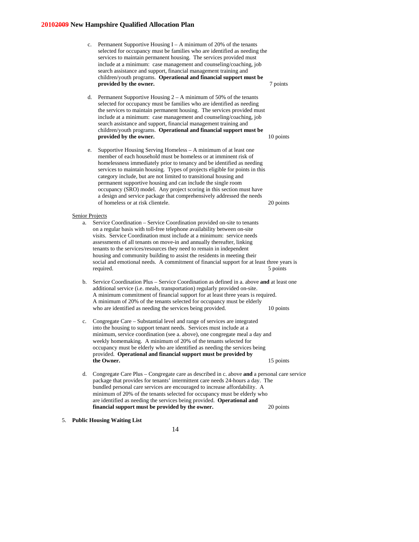- c. Permanent Supportive Housing I A minimum of 20% of the tenants selected for occupancy must be families who are identified as needing the services to maintain permanent housing. The services provided must include at a minimum: case management and counseling/coaching, job search assistance and support, financial management training and children/youth programs. **Operational and financial support must be provided by the owner.** 7 points 7 points d. Permanent Supportive Housing 2 – A minimum of 50% of the tenants selected for occupancy must be families who are identified as needing the services to maintain permanent housing. The services provided must include at a minimum: case management and counseling/coaching, job search assistance and support, financial management training and children/youth programs. **Operational and financial support must be provided by the owner.** 10 points e. Supportive Housing Serving Homeless – A minimum of at least one member of each household must be homeless or at imminent risk of homelessness immediately prior to tenancy and be identified as needing services to maintain housing. Types of projects eligible for points in this category include, but are not limited to transitional housing and permanent supportive housing and can include the single room occupancy (SRO) model. Any project scoring in this section must have a design and service package that comprehensively addressed the needs of homeless or at risk clientele. 20 points Senior Projects a. Service Coordination – Service Coordination provided on-site to tenants on a regular basis with toll-free telephone availability between on-site visits. Service Coordination must include at a minimum: service needs assessments of all tenants on move-in and annually thereafter, linking tenants to the services/resources they need to remain in independent housing and community building to assist the residents in meeting their social and emotional needs. A commitment of financial support for at least three years is required. 5 points b. Service Coordination Plus – Service Coordination as defined in a. above **and** at least one additional service (i.e. meals, transportation) regularly provided on-site. A minimum commitment of financial support for at least three years is required. A minimum of 20% of the tenants selected for occupancy must be elderly who are identified as needing the services being provided. 10 points c. Congregate Care – Substantial level and range of services are integrated into the housing to support tenant needs. Services must include at a minimum, service coordination (see a. above), one congregate meal a day and weekly homemaking. A minimum of 20% of the tenants selected for occupancy must be elderly who are identified as needing the services being provided. **Operational and financial support must be provided by the Owner.** 15 points d. Congregate Care Plus – Congregate care as described in c. above **and** a personal care service package that provides for tenants' intermittent care needs 24-hours a day. The bundled personal care services are encouraged to increase affordability. A minimum of 20% of the tenants selected for occupancy must be elderly who are identified as needing the services being provided. **Operational and financial support must be provided by the owner.** 20 points
- 5. **Public Housing Waiting List**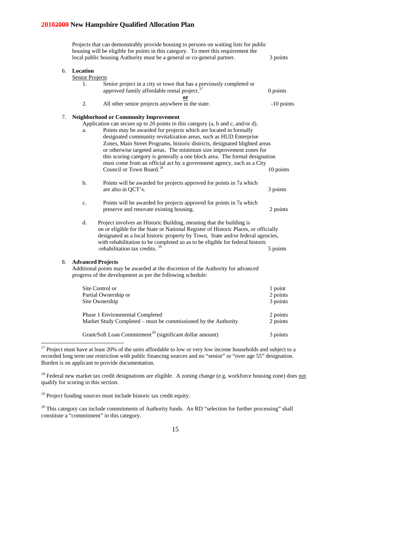|    |                                   | Projects that can demonstrably provide housing to persons on waiting lists for public<br>housing will be eligible for points in this category. To meet this requirement the<br>local public housing Authority must be a general or co-general partner.                                                                                                                                                                                                                                                                                                                                                                        | 3 points                        |
|----|-----------------------------------|-------------------------------------------------------------------------------------------------------------------------------------------------------------------------------------------------------------------------------------------------------------------------------------------------------------------------------------------------------------------------------------------------------------------------------------------------------------------------------------------------------------------------------------------------------------------------------------------------------------------------------|---------------------------------|
| 6. | Location<br>Senior Projects<br>1. | Senior project in a city or town that has a previously completed or<br>approved family affordable rental project. <sup>17</sup><br>or                                                                                                                                                                                                                                                                                                                                                                                                                                                                                         | 0 points                        |
|    | 2.                                | All other senior projects anywhere in the state.                                                                                                                                                                                                                                                                                                                                                                                                                                                                                                                                                                              | $-10$ points                    |
| 7. | a.                                | <b>Neighborhood or Community Improvement</b><br>Application can secure up to 20 points in this category (a, b and c, and/or d).<br>Points may be awarded for projects which are located in formally<br>designated community revitalization areas, such as HUD Enterprise<br>Zones, Main Street Programs, historic districts, designated blighted areas<br>or otherwise targeted areas. The minimum size improvement zones for<br>this scoring category is generally a one block area. The formal designation<br>must come from an official act by a government agency, such as a City<br>Council or Town Board. <sup>18</sup> | 10 points                       |
|    | b.                                | Points will be awarded for projects approved for points in 7a which<br>are also in QCT's.                                                                                                                                                                                                                                                                                                                                                                                                                                                                                                                                     | 3 points                        |
|    | c.                                | Points will be awarded for projects approved for points in 7a which<br>preserve and renovate existing housing.                                                                                                                                                                                                                                                                                                                                                                                                                                                                                                                | 2 points                        |
|    | d.                                | Project involves an Historic Building, meaning that the building is<br>on or eligible for the State or National Register of Historic Places, or officially<br>designated as a local historic property by Town, State and/or federal agencies,<br>with rehabilitation to be completed so as to be eligible for federal historic<br>-rehabilitation tax credits. <sup>19</sup>                                                                                                                                                                                                                                                  | 5 points                        |
| 8. | <b>Advanced Projects</b>          | Additional points may be awarded at the discretion of the Authority for advanced<br>progress of the development as per the following schedule:                                                                                                                                                                                                                                                                                                                                                                                                                                                                                |                                 |
|    |                                   | Site Control or<br>Partial Ownership or<br>Site Ownership                                                                                                                                                                                                                                                                                                                                                                                                                                                                                                                                                                     | 1 point<br>2 points<br>3 points |

Market Study Completed – must be commissioned by the Authority 2 points Grant/Soft Loan Commitment<sup>[20](#page-18-3)</sup> (significant dollar amount) 3 points

Phase 1 Environmental Completed 2 points 2 points

<sup>19</sup> Project funding sources must include historic tax credit equity.

-

<span id="page-18-3"></span><span id="page-18-2"></span><span id="page-18-1"></span><span id="page-18-0"></span><sup>20</sup> This category can include commitments of Authority funds. An RD "selection for further processing" shall constitute a "commitment" in this category.

 $17$  Project must have at least 20% of the units affordable to low or very low income households and subject to a recorded long term use restriction with public financing sources and no "senior" or "over age 55" designation. Burden is on applicant to provide documentation.

<sup>&</sup>lt;sup>18</sup> Federal new market tax credit designations are eligible. A zoning change (e.g. workforce housing zone) does not qualify for scoring in this section.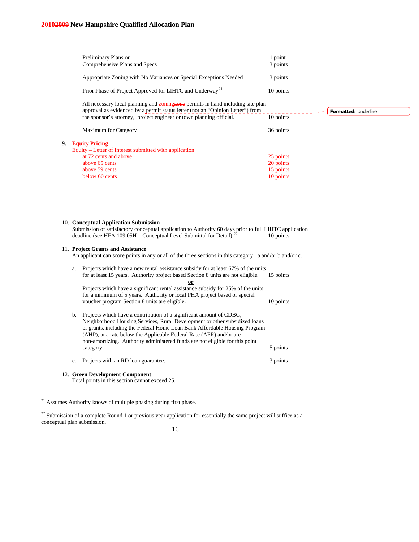|    |    | Preliminary Plans or<br>Comprehensive Plans and Specs                                                                                                                                                                                                                                                                                                                                  | 1 point   |                      |
|----|----|----------------------------------------------------------------------------------------------------------------------------------------------------------------------------------------------------------------------------------------------------------------------------------------------------------------------------------------------------------------------------------------|-----------|----------------------|
|    |    |                                                                                                                                                                                                                                                                                                                                                                                        | 3 points  |                      |
|    |    | Appropriate Zoning with No Variances or Special Exceptions Needed                                                                                                                                                                                                                                                                                                                      | 3 points  |                      |
|    |    | Prior Phase of Project Approved for LIHTC and Underway <sup>21</sup>                                                                                                                                                                                                                                                                                                                   | 10 points |                      |
|    |    | All necessary local planning and zoningzone permits in hand including site plan<br>approval as evidenced by a permit status letter (not an "Opinion Letter") from                                                                                                                                                                                                                      |           | Formatted: Underline |
|    |    | the sponsor's attorney, project engineer or town planning official.                                                                                                                                                                                                                                                                                                                    | 10 points |                      |
|    |    | <b>Maximum for Category</b>                                                                                                                                                                                                                                                                                                                                                            | 36 points |                      |
| 9. |    | <b>Equity Pricing</b>                                                                                                                                                                                                                                                                                                                                                                  |           |                      |
|    |    | Equity – Letter of Interest submitted with application                                                                                                                                                                                                                                                                                                                                 |           |                      |
|    |    | at 72 cents and above                                                                                                                                                                                                                                                                                                                                                                  | 25 points |                      |
|    |    | above 65 cents                                                                                                                                                                                                                                                                                                                                                                         | 20 points |                      |
|    |    | above 59 cents                                                                                                                                                                                                                                                                                                                                                                         | 15 points |                      |
|    |    | below 60 cents                                                                                                                                                                                                                                                                                                                                                                         | 10 points |                      |
|    |    | 10. Conceptual Application Submission<br>Submission of satisfactory conceptual application to Authority 60 days prior to full LIHTC application<br>deadline (see HFA:109.05H – Conceptual Level Submittal for Detail). <sup>2</sup><br>11. Project Grants and Assistance<br>An applicant can score points in any or all of the three sections in this category: a and/or b and/or c.   | 10 points |                      |
|    |    |                                                                                                                                                                                                                                                                                                                                                                                        |           |                      |
|    | a. | Projects which have a new rental assistance subsidy for at least 67% of the units,<br>for at least 15 years. Authority project based Section 8 units are not eligible.                                                                                                                                                                                                                 | 15 points |                      |
|    |    | Projects which have a significant rental assistance subsidy for 25% of the units<br>for a minimum of 5 years. Authority or local PHA project based or special                                                                                                                                                                                                                          |           |                      |
|    |    | voucher program Section 8 units are eligible.                                                                                                                                                                                                                                                                                                                                          | 10 points |                      |
|    | b. | Projects which have a contribution of a significant amount of CDBG,<br>Neighborhood Housing Services, Rural Development or other subsidized loans<br>or grants, including the Federal Home Loan Bank Affordable Housing Program<br>(AHP), at a rate below the Applicable Federal Rate (AFR) and/or are<br>non-amortizing. Authority administered funds are not eligible for this point |           |                      |
|    |    | category.                                                                                                                                                                                                                                                                                                                                                                              | 5 points  |                      |
|    | c. | Projects with an RD loan guarantee.                                                                                                                                                                                                                                                                                                                                                    | 3 points  |                      |
|    |    | 12. Green Development Component                                                                                                                                                                                                                                                                                                                                                        |           |                      |

Total points in this section cannot exceed 25.

-

<span id="page-19-1"></span><span id="page-19-0"></span> $22$  Submission of a complete Round 1 or previous year application for essentially the same project will suffice as a conceptual plan submission.



 $21$  Assumes Authority knows of multiple phasing during first phase.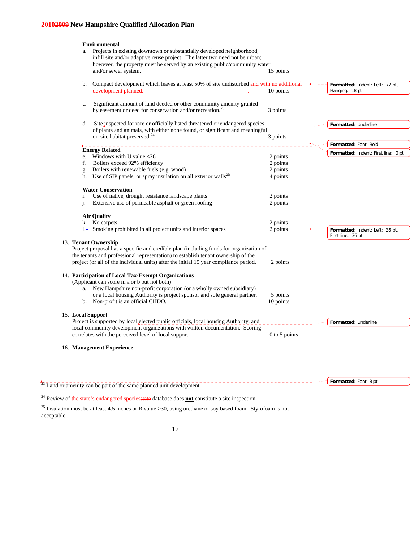|    | <b>Environmental</b>                                                                                                                                                  |               |                                                      |
|----|-----------------------------------------------------------------------------------------------------------------------------------------------------------------------|---------------|------------------------------------------------------|
| a. | Projects in existing downtown or substantially developed neighborhood,                                                                                                |               |                                                      |
|    | infill site and/or adaptive reuse project. The latter two need not be urban;                                                                                          |               |                                                      |
|    | however, the property must be served by an existing public/community water                                                                                            |               |                                                      |
|    | and/or sewer system.                                                                                                                                                  | 15 points     |                                                      |
| b. | Compact development which leaves at least 50% of site undisturbed and with no additional<br>development planned.                                                      | 10 points     | Formatted: Indent: Left: 72 pt,<br>Hanging: 18 pt    |
|    |                                                                                                                                                                       |               |                                                      |
| c. | Significant amount of land deeded or other community amenity granted<br>by easement or deed for conservation and/or recreation. <sup>23</sup>                         | 3 points      |                                                      |
| d. | Site inspected for rare or officially listed threatened or endangered species                                                                                         |               | Formatted: Underline                                 |
|    | of plants and animals, with either none found, or significant and meaningful                                                                                          |               |                                                      |
|    | on-site habitat preserved. <sup>24</sup>                                                                                                                              | 3 points      |                                                      |
|    |                                                                                                                                                                       |               | Formatted: Font: Bold                                |
|    | <b>Energy Related</b>                                                                                                                                                 |               | Formatted: Indent: First line: 0 pt                  |
| e. | Windows with U value $<$ 26                                                                                                                                           | 2 points      |                                                      |
| f. | Boilers exceed 92% efficiency                                                                                                                                         | 2 points      |                                                      |
| g. | Boilers with renewable fuels (e.g. wood)                                                                                                                              | 2 points      |                                                      |
| h. | Use of SIP panels, or spray insulation on all exterior walls <sup>25</sup>                                                                                            | 4 points      |                                                      |
|    | <b>Water Conservation</b>                                                                                                                                             |               |                                                      |
| i. | Use of native, drought resistance landscape plants                                                                                                                    | 2 points      |                                                      |
| j. | Extensive use of permeable asphalt or green roofing                                                                                                                   | 2 points      |                                                      |
|    |                                                                                                                                                                       |               |                                                      |
|    | <b>Air Quality</b><br>k. No carpets                                                                                                                                   | 2 points      |                                                      |
|    | 1. Smoking prohibited in all project units and interior spaces                                                                                                        | 2 points      |                                                      |
|    |                                                                                                                                                                       |               | Formatted: Indent: Left: 36 pt,<br>First line: 36 pt |
|    | 13. Tenant Ownership                                                                                                                                                  |               |                                                      |
|    | Project proposal has a specific and credible plan (including funds for organization of                                                                                |               |                                                      |
|    | the tenants and professional representation) to establish tenant ownership of the                                                                                     |               |                                                      |
|    | project (or all of the individual units) after the initial 15 year compliance period.                                                                                 | 2 points      |                                                      |
|    | 14. Participation of Local Tax-Exempt Organizations                                                                                                                   |               |                                                      |
|    | (Applicant can score in a or b but not both)                                                                                                                          |               |                                                      |
|    | New Hampshire non-profit corporation (or a wholly owned subsidiary)                                                                                                   |               |                                                      |
|    | or a local housing Authority is project sponsor and sole general partner.                                                                                             | 5 points      |                                                      |
|    | b. Non-profit is an official CHDO.                                                                                                                                    | 10 points     |                                                      |
|    |                                                                                                                                                                       |               |                                                      |
|    | 15. Local Support                                                                                                                                                     |               |                                                      |
|    | Project is supported by local elected public officials, local housing Authority, and<br>local community development organizations with written documentation. Scoring |               | Formatted: Underline                                 |
|    | correlates with the perceived level of local support.                                                                                                                 | 0 to 5 points |                                                      |
|    |                                                                                                                                                                       |               |                                                      |
|    | 16. Management Experience                                                                                                                                             |               |                                                      |
|    |                                                                                                                                                                       |               |                                                      |
|    |                                                                                                                                                                       |               |                                                      |
|    |                                                                                                                                                                       |               |                                                      |

**Formatted:** Font: 8 pt

 $23$  Land or amenity can be part of the same planned unit development.

-

<sup>24</sup> Review of the state's endangered speciesstate database does **not** constitute a site inspection.

<span id="page-20-2"></span><span id="page-20-1"></span><span id="page-20-0"></span><sup>25</sup> Insulation must be at least 4.5 inches or R value > 30, using urethane or soy based foam. Styrofoam is not acceptable.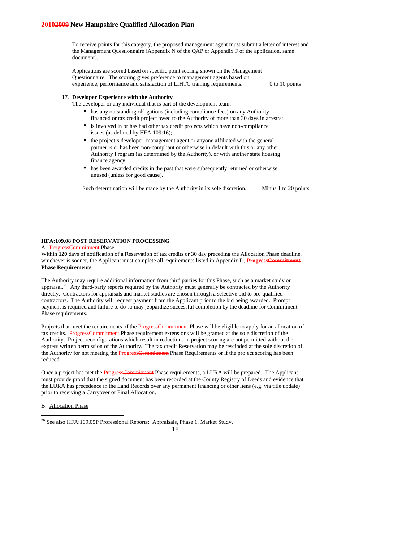To receive points for this category, the proposed management agent must submit a letter of interest and the Management Questionnaire (Appendix N of the QAP or Appendix F of the application, same document).

Applications are scored based on specific point scoring shown on the Management Questionnaire. The scoring gives preference to management agents based on experience, performance and satisfaction of LIHTC training requirements. 0 to 10 points

## 17. **Developer Experience with the Authority**

The developer or any individual that is part of the development team:

- has any outstanding obligations (including compliance fees) on any Authority financed or tax credit project owed to the Authority of more than 30 days in arrears;
- is involved in or has had other tax credit projects which have non-compliance issues (as defined by HFA:109:16);
- the project's developer, management agent or anyone affiliated with the general partner is or has been non-compliant or otherwise in default with this or any other Authority Program (as determined by the Authority), or with another state housing finance agency.
- has been awarded credits in the past that were subsequently returned or otherwise unused (unless for good cause).

Such determination will be made by the Authority in its sole discretion. Minus 1 to 20 points

# **HFA:109.08 POST RESERVATION PROCESSING**

#### A. ProgressCommitment Phase

Within **120** days of notification of a Reservation of tax credits or 30 day preceding the Allocation Phase deadline, whichever is sooner, the Applicant must complete all requirements listed in Appendix D, **ProgressCommitment Phase Requirements**.

The Authority may require additional information from third parties for this Phase, such as a market study or appraisal.<sup>[26](#page-21-0)</sup> Any third-party reports required by the Authority must generally be contracted by the Authority directly. Contractors for appraisals and market studies are chosen through a selective bid to pre-qualified contractors. The Authority will request payment from the Applicant prior to the bid being awarded. Prompt payment is required and failure to do so may jeopardize successful completion by the deadline for Commitment Phase requirements.

Projects that meet the requirements of the ProgressCommitment Phase will be eligible to apply for an allocation of tax credits. ProgressCommitment Phase requirement extensions will be granted at the sole discretion of the Authority. Project reconfigurations which result in reductions in project scoring are not permitted without the express written permission of the Authority. The tax credit Reservation may be rescinded at the sole discretion of the Authority for not meeting the ProgressCommitment Phase Requirements or if the project scoring has been reduced.

Once a project has met the ProgressCommitment Phase requirements, a LURA will be prepared. The Applicant must provide proof that the signed document has been recorded at the County Registry of Deeds and evidence that the LURA has precedence in the Land Records over any permanent financing or other liens (e.g. via title update) prior to receiving a Carryover or Final Allocation.

## B. Allocation Phase

-

<span id="page-21-0"></span><sup>&</sup>lt;sup>26</sup> See also HFA:109.05P Professional Reports: Appraisals, Phase 1, Market Study.

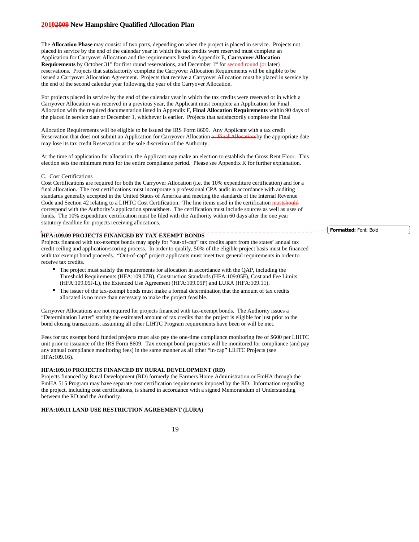The **Allocation Phase** may consist of two parts, depending on when the project is placed in service. Projects not placed in service by the end of the calendar year in which the tax credits were reserved must complete an Application for Carryover Allocation and the requirements listed in Appendix E, **Carryover Allocation Requirements** by October 31<sup>st</sup> for first round reservations, and December 1<sup>st</sup> for second round (or later) reservations. Projects that satisfactorily complete the Carryover Allocation Requirements will be eligible to be issued a Carryover Allocation Agreement. Projects that receive a Carryover Allocation must be placed in service by the end of the second calendar year following the year of the Carryover Allocation.

For projects placed in service by the end of the calendar year in which the tax credits were reserved or in which a Carryover Allocation was received in a previous year, the Applicant must complete an Application for Final Allocation with the required documentation listed in Appendix F, **Final Allocation Requirements** within 90 days of the placed in service date or December 1, whichever is earlier. Projects that satisfactorily complete the Final

Allocation Requirements will be eligible to be issued the IRS Form 8609. Any Applicant with a tax credit Reservation that does not submit an Application for Carryover Allocation or Final Allocation by the appropriate date may lose its tax credit Reservation at the sole discretion of the Authority.

At the time of application for allocation, the Applicant may make an election to establish the Gross Rent Floor. This election sets the minimum rents for the entire compliance period. Please see Appendix K for further explanation.

#### C. Cost Certifications

Cost Certifications are required for both the Carryover Allocation (i.e. the 10% expenditure certification) and for a final allocation. The cost certifications must incorporate a professional CPA audit in accordance with auditing standards generally accepted in the United States of America and meeting the standards of the Internal Revenue Code and Section 42 relating to a LIHTC Cost Certification. The line items used in the certification mustshould correspond with the Authority's application spreadsheet. The certification must include sources as well as uses of funds. The 10% expenditure certification must be filed with the Authority within 60 days after the one year statutory deadline for projects receiving allocations.

## **HFA:109.09 PROJECTS FINANCED BY TAX-EXEMPT BONDS**

Projects financed with tax-exempt bonds may apply for "out-of-cap" tax credits apart from the states' annual tax credit ceiling and application/scoring process. In order to qualify, 50% of the eligible project basis must be financed with tax exempt bond proceeds. "Out-of-cap" project applicants must meet two general requirements in order to receive tax credits.

- The project must satisfy the requirements for allocation in accordance with the QAP, including the Threshold Requirements (HFA:109.07B), Construction Standards (HFA:109:05F), Cost and Fee Limits (HFA:109.05J-L), the Extended Use Agreement (HFA:109.05P) and LURA (HFA:109.11).
- The issuer of the tax-exempt bonds must make a formal determination that the amount of tax credits allocated is no more than necessary to make the project feasible.

Carryover Allocations are not required for projects financed with tax-exempt bonds. The Authority issues a "Determination Letter" stating the estimated amount of tax credits that the project is eligible for just prior to the bond closing transactions, assuming all other LIHTC Program requirements have been or will be met.

Fees for tax exempt bond funded projects must also pay the one-time compliance monitoring fee of \$600 per LIHTC unit prior to issuance of the IRS Form 8609. Tax exempt bond properties will be monitored for compliance (and pay any annual compliance monitoring fees) in the same manner as all other "in-cap" LIHTC Projects (see HFA:109.16).

#### **HFA:109.10 PROJECTS FINANCED BY RURAL DEVELOPMENT (RD)**

Projects financed by Rural Development (RD) formerly the Farmers Home Administration or FmHA through the FmHA 515 Program may have separate cost certification requirements imposed by the RD. Information regarding the project, including cost certifications, is shared in accordance with a signed Memorandum of Understanding between the RD and the Authority.

19

#### **HFA:109.11 LAND USE RESTRICTION AGREEMENT (LURA)**

**Formatted:** Font: Bold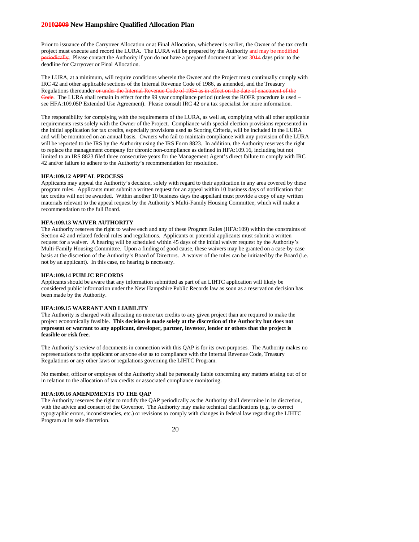Prior to issuance of the Carryover Allocation or at Final Allocation, whichever is earlier, the Owner of the tax credit project must execute and record the LURA. The LURA will be prepared by the Authority and may be modified riodically. Please contact the Authority if you do not have a prepared document at least 3014 days prior to the deadline for Carryover or Final Allocation.

The LURA, at a minimum, will require conditions wherein the Owner and the Project must continually comply with IRC 42 and other applicable sections of the Internal Revenue Code of 1986, as amended, and the Treasury Regulations thereunder or under the Internal Revenue Code of 1954 as in effect on the date of the date of the date of the date of the date of the date of the date of the date of the date of the date of the date of the date Code. The LURA shall remain in effect for the 99 year compliance period (unless the ROFR procedure is used – see HFA:109.05P Extended Use Agreement). Please consult IRC 42 or a tax specialist for more information.

The responsibility for complying with the requirements of the LURA, as well as, complying with all other applicable requirements rests solely with the Owner of the Project. Compliance with special election provisions represented in the initial application for tax credits, especially provisions used as Scoring Criteria, will be included in the LURA and will be monitored on an annual basis. Owners who fail to maintain compliance with any provision of the LURA will be reported to the IRS by the Authority using the IRS Form 8823. In addition, the Authority reserves the right to replace the management company for chronic non-compliance as defined in HFA:109.16, including but not limited to an IRS 8823 filed three consecutive years for the Management Agent's direct failure to comply with IRC 42 and/or failure to adhere to the Authority's recommendation for resolution.

## **HFA:109.12 APPEAL PROCESS**

Applicants may appeal the Authority's decision, solely with regard to their application in any area covered by these program rules. Applicants must submit a written request for an appeal within 10 business days of notification that tax credits will not be awarded. Within another 10 business days the appellant must provide a copy of any written materials relevant to the appeal request by the Authority's Multi-Family Housing Committee, which will make a recommendation to the full Board.

# **HFA:109.13 WAIVER AUTHORITY**

The Authority reserves the right to waive each and any of these Program Rules (HFA:109) within the constraints of Section 42 and related federal rules and regulations. Applicants or potential applicants must submit a written request for a waiver. A hearing will be scheduled within 45 days of the initial waiver request by the Authority's Multi-Family Housing Committee. Upon a finding of good cause, these waivers may be granted on a case-by-case basis at the discretion of the Authority's Board of Directors. A waiver of the rules can be initiated by the Board (i.e. not by an applicant). In this case, no hearing is necessary.

#### **HFA:109.14 PUBLIC RECORDS**

Applicants should be aware that any information submitted as part of an LIHTC application will likely be considered public information under the New Hampshire Public Records law as soon as a reservation decision has been made by the Authority.

# **HFA:109.15 WARRANT AND LIABILITY**

The Authority is charged with allocating no more tax credits to any given project than are required to make the project economically feasible. **This decision is made solely at the discretion of the Authority but does not represent or warrant to any applicant, developer, partner, investor, lender or others that the project is feasible or risk free.** 

The Authority's review of documents in connection with this QAP is for its own purposes. The Authority makes no representations to the applicant or anyone else as to compliance with the Internal Revenue Code, Treasury Regulations or any other laws or regulations governing the LIHTC Program.

No member, officer or employee of the Authority shall be personally liable concerning any matters arising out of or in relation to the allocation of tax credits or associated compliance monitoring.

## **HFA:109.16 AMENDMENTS TO THE QAP**

The Authority reserves the right to modify the QAP periodically as the Authority shall determine in its discretion, with the advice and consent of the Governor. The Authority may make technical clarifications (e.g. to correct typographic errors, inconsistencies, etc.) or revisions to comply with changes in federal law regarding the LIHTC Program at its sole discretion.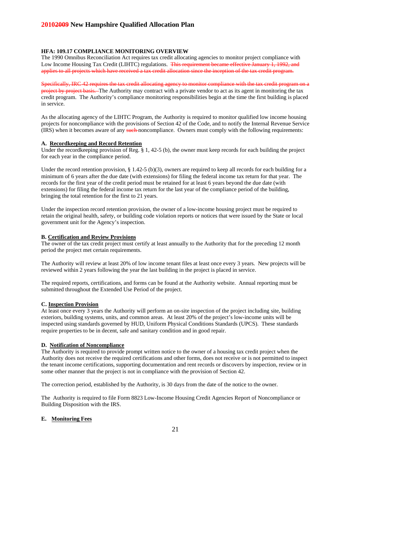## **HFA: 109.17 COMPLIANCE MONITORING OVERVIEW**

The 1990 Omnibus Reconciliation Act requires tax credit allocating agencies to monitor project compliance with Low Income Housing Tax Credit (LIHTC) regulations. This requirement became effective January 1, 1992, and applies to all projects which have received a tax credit allocation since the inception of the tax credit program.

Specifically, IRC 42 requires the tax credit allocating agency to monitor compliance with the tax credit program on a project by project basis. The Authority may contract with a private vendor to act as its agent in monitoring the tax credit program. The Authority's compliance monitoring responsibilities begin at the time the first building is placed in service.

As the allocating agency of the LIHTC Program, the Authority is required to monitor qualified low income housing projects for noncompliance with the provisions of Section 42 of the Code, and to notify the Internal Revenue Service (IRS) when it becomes aware of any such noncompliance. Owners must comply with the following requirements:

#### **A. Recordkeeping and Record Retention**

Under the recordkeeping provision of Reg. § 1, 42-5 (b), the owner must keep records for each building the project for each year in the compliance period.

Under the record retention provision, § 1.42-5 (b)(3), owners are required to keep all records for each building for a minimum of 6 years after the due date (with extensions) for filing the federal income tax return for that year. The records for the first year of the credit period must be retained for at least 6 years beyond the due date (with extensions) for filing the federal income tax return for the last year of the compliance period of the building, bringing the total retention for the first to 21 years.

Under the inspection record retention provision, the owner of a low-income housing project must be required to retain the original health, safety, or building code violation reports or notices that were issued by the State or local government unit for the Agency's inspection.

# **B. Certification and Review Provisions**

The owner of the tax credit project must certify at least annually to the Authority that for the preceding 12 month period the project met certain requirements.

The Authority will review at least 20% of low income tenant files at least once every 3 years. New projects will be reviewed within 2 years following the year the last building in the project is placed in service.

The required reports, certifications, and forms can be found at the Authority website. Annual reporting must be submitted throughout the Extended Use Period of the project.

#### **C. Inspection Provision**

At least once every 3 years the Authority will perform an on-site inspection of the project including site, building exteriors, building systems, units, and common areas. At least 20% of the project's low-income units will be inspected using standards governed by HUD, Uniform Physical Conditions Standards (UPCS). These standards require properties to be in decent, safe and sanitary condition and in good repair.

#### **D. Notification of Noncompliance**

The Authority is required to provide prompt written notice to the owner of a housing tax credit project when the Authority does not receive the required certifications and other forms, does not receive or is not permitted to inspect the tenant income certifications, supporting documentation and rent records or discovers by inspection, review or in some other manner that the project is not in compliance with the provision of Section 42.

The correction period, established by the Authority, is 30 days from the date of the notice to the owner.

The Authority is required to file Form 8823 Low-Income Housing Credit Agencies Report of Noncompliance or Building Disposition with the IRS.

#### **E. Monitoring Fees**